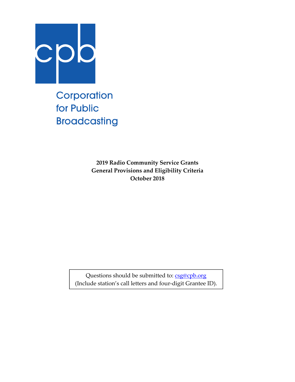

Corporation for Public **Broadcasting** 

> **2019 Radio Community Service Grants General Provisions and Eligibility Criteria October 2018**

Questions should be submitted to: csg@cpb.org (Include station's call letters and four‐digit Grantee ID).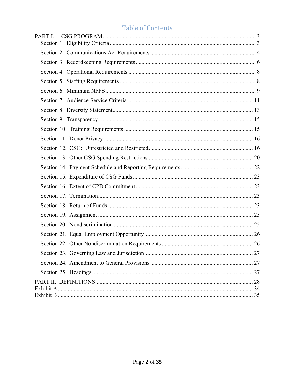# **Table of Contents**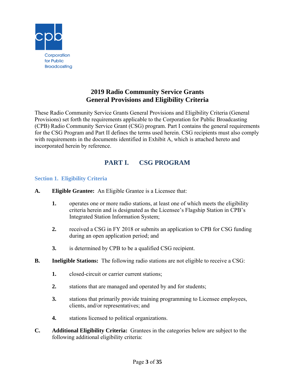

## **2019 Radio Community Service Grants General Provisions and Eligibility Criteria**

These Radio Community Service Grants General Provisions and Eligibility Criteria (General Provisions) set forth the requirements applicable to the Corporation for Public Broadcasting (CPB) Radio Community Service Grant (CSG) program. Part I contains the general requirements for the CSG Program and Part II defines the terms used herein. CSG recipients must also comply with requirements in the documents identified in Exhibit A, which is attached hereto and incorporated herein by reference.

## **PART I. CSG PROGRAM**

#### **Section 1. Eligibility Criteria**

- **A. Eligible Grantee:** An Eligible Grantee is a Licensee that:
	- **1.** operates one or more radio stations, at least one of which meets the eligibility criteria herein and is designated as the Licensee's Flagship Station in CPB's Integrated Station Information System;
	- **2.** received a CSG in FY 2018 or submits an application to CPB for CSG funding during an open application period; and
	- **3.** is determined by CPB to be a qualified CSG recipient.
- **B. Ineligible Stations:** The following radio stations are not eligible to receive a CSG:
	- **1.** closed-circuit or carrier current stations;
	- **2.** stations that are managed and operated by and for students;
	- **3.** stations that primarily provide training programming to Licensee employees, clients, and/or representatives; and
	- **4.** stations licensed to political organizations.
- **C. Additional Eligibility Criteria:** Grantees in the categories below are subject to the following additional eligibility criteria: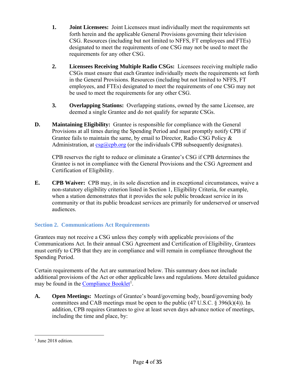- **1. Joint Licensees:** Joint Licensees must individually meet the requirements set forth herein and the applicable General Provisions governing their television CSG. Resources (including but not limited to NFFS, FT employees and FTEs) designated to meet the requirements of one CSG may not be used to meet the requirements for any other CSG.
- **2. Licensees Receiving Multiple Radio CSGs:** Licensees receiving multiple radio CSGs must ensure that each Grantee individually meets the requirements set forth in the General Provisions. Resources (including but not limited to NFFS, FT employees, and FTEs) designated to meet the requirements of one CSG may not be used to meet the requirements for any other CSG.
- **3. Overlapping Stations:** Overlapping stations, owned by the same Licensee, are deemed a single Grantee and do not qualify for separate CSGs.
- **D. Maintaining Eligibility:** Grantee is responsible for compliance with the General Provisions at all times during the Spending Period and must promptly notify CPB if Grantee fails to maintain the same, by email to Director, Radio CSG Policy & Administration, at  $csg(\partial_c cb)$ , org (or the individuals CPB subsequently designates).

CPB reserves the right to reduce or eliminate a Grantee's CSG if CPB determines the Grantee is not in compliance with the General Provisions and the CSG Agreement and Certification of Eligibility.

**E. CPB Waiver:** CPB may, in its sole discretion and in exceptional circumstances, waive a non-statutory eligibility criterion listed in Section 1, Eligibility Criteria, for example, when a station demonstrates that it provides the sole public broadcast service in its community or that its public broadcast services are primarily for underserved or unserved audiences.

### **Section 2. Communications Act Requirements**

Grantees may not receive a CSG unless they comply with applicable provisions of the Communications Act. In their annual CSG Agreement and Certification of Eligibility, Grantees must certify to CPB that they are in compliance and will remain in compliance throughout the Spending Period.

Certain requirements of the Act are summarized below. This summary does not include additional provisions of the Act or other applicable laws and regulations. More detailed guidance may be found in the Compliance Booklet<sup>1</sup>.

**A. Open Meetings:** Meetings of Grantee's board/governing body, board/governing body committees and CAB meetings must be open to the public  $(47 \text{ U.S.C.} \& 396 \text{ (k)}(4))$ . In addition, CPB requires Grantees to give at least seven days advance notice of meetings, including the time and place, by:

 $\overline{a}$ 

<sup>&</sup>lt;sup>1</sup> June 2018 edition.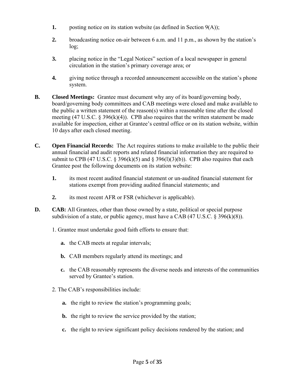- **1.** posting notice on its station website (as defined in Section 9(A));
- **2.** broadcasting notice on-air between 6 a.m. and 11 p.m., as shown by the station's log;
- **3.** placing notice in the "Legal Notices" section of a local newspaper in general circulation in the station's primary coverage area; or
- **4.** giving notice through a recorded announcement accessible on the station's phone system.
- **B. Closed Meetings:** Grantee must document why any of its board/governing body, board/governing body committees and CAB meetings were closed and make available to the public a written statement of the reason(s) within a reasonable time after the closed meeting  $(47 \text{ U.S.C. } \S 396(k)(4))$ . CPB also requires that the written statement be made available for inspection, either at Grantee's central office or on its station website, within 10 days after each closed meeting.
- **C. Open Financial Records:** The Act requires stations to make available to the public their annual financial and audit reports and related financial information they are required to submit to CPB (47 U.S.C.  $\S 396(k)(5)$  and  $\S 396(l)(3)(b)$ ). CPB also requires that each Grantee post the following documents on its station website:
	- **1.** its most recent audited financial statement or un-audited financial statement for stations exempt from providing audited financial statements; and
	- **2.** its most recent AFR or FSR (whichever is applicable).
- **D. CAB:** All Grantees, other than those owned by a state, political or special purpose subdivision of a state, or public agency, must have a CAB  $(47 \text{ U.S.C. } 8 \text{ 396(k)}(8))$ .
	- 1. Grantee must undertake good faith efforts to ensure that:
		- **a.** the CAB meets at regular intervals;
		- **b.** CAB members regularly attend its meetings; and
		- **c.** the CAB reasonably represents the diverse needs and interests of the communities served by Grantee's station.
	- 2. The CAB's responsibilities include:
		- **a.** the right to review the station's programming goals;
		- **b.** the right to review the service provided by the station;
		- **c.** the right to review significant policy decisions rendered by the station; and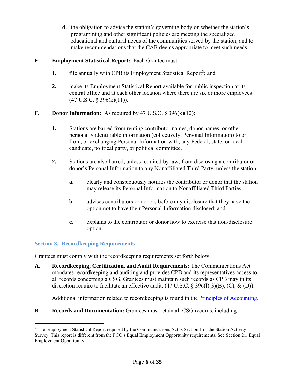**d.** the obligation to advise the station's governing body on whether the station's programming and other significant policies are meeting the specialized educational and cultural needs of the communities served by the station, and to make recommendations that the CAB deems appropriate to meet such needs.

#### **E. Employment Statistical Report:** Each Grantee must:

- **1.** file annually with CPB its Employment Statistical Report<sup>2</sup>; and
- **2.** make its Employment Statistical Report available for public inspection at its central office and at each other location where there are six or more employees  $(47 \text{ U.S.C. } § 396(k)(11)).$
- **F. Donor Information:** As required by 47 U.S.C. § 396(k)(12):
	- **1.** Stations are barred from renting contributor names, donor names, or other personally identifiable information (collectively, Personal Information) to or from, or exchanging Personal Information with, any Federal, state, or local candidate, political party, or political committee.
	- **2.** Stations are also barred, unless required by law, from disclosing a contributor or donor's Personal Information to any Nonaffiliated Third Party, unless the station:
		- **a.** clearly and conspicuously notifies the contributor or donor that the station may release its Personal Information to Nonaffiliated Third Parties;
		- **b.** advises contributors or donors before any disclosure that they have the option not to have their Personal Information disclosed; and
		- **c.** explains to the contributor or donor how to exercise that non-disclosure option.

### **Section 3. Recordkeeping Requirements**

Grantees must comply with the recordkeeping requirements set forth below.

**A. Recordkeeping, Certification, and Audit Requirements:** The Communications Act mandates recordkeeping and auditing and provides CPB and its representatives access to all records concerning a CSG. Grantees must maintain such records as CPB may in its discretion require to facilitate an effective audit.  $(47 \text{ U.S.C.} \S 396(l)(3)(B), (C), \& (D)).$ 

Additional information related to recordkeeping is found in the Principles of Accounting.

**B. Records and Documentation:** Grantees must retain all CSG records, including

 $\overline{a}$ <sup>2</sup> The Employment Statistical Report required by the Communications Act is Section 1 of the Station Activity Survey. This report is different from the FCC's Equal Employment Opportunity requirements. See Section 21, Equal Employment Opportunity.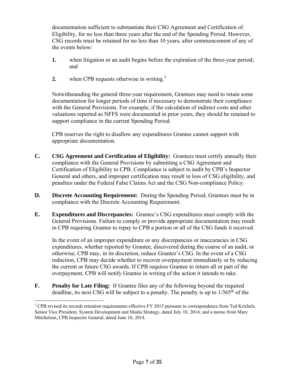documentation sufficient to substantiate their CSG Agreement and Certification of Eligibility, for no less than three years after the end of the Spending Period. However, CSG records must be retained for no less than 10 years, after commencement of any of the events below:

- **1.** when litigation or an audit begins before the expiration of the three-year period; and
- **2.** when CPB requests otherwise in writing.<sup>3</sup>

Notwithstanding the general three-year requirement, Grantees may need to retain some documentation for longer periods of time if necessary to demonstrate their compliance with the General Provisions. For example, if the calculation of indirect costs and other valuations reported as NFFS were documented in prior years, they should be retained to support compliance in the current Spending Period.

CPB reserves the right to disallow any expenditures Grantee cannot support with appropriate documentation.

- **C. CSG Agreement and Certification of Eligibility:** Grantees must certify annually their compliance with the General Provisions by submitting a CSG Agreement and Certification of Eligibility to CPB. Compliance is subject to audit by CPB's Inspector General and others, and improper certification may result in loss of CSG eligibility, and penalties under the Federal False Claims Act and the CSG Non-compliance Policy.
- **D. Discrete Accounting Requirement:** During the Spending Period, Grantees must be in compliance with the Discrete Accounting Requirement.
- **E. Expenditures and Discrepancies:** Grantee's CSG expenditures must comply with the General Provisions. Failure to comply or provide appropriate documentation may result in CPB requiring Grantee to repay to CPB a portion or all of the CSG funds it received.

In the event of an improper expenditure or any discrepancies or inaccuracies in CSG expenditures, whether reported by Grantee, discovered during the course of an audit, or otherwise, CPB may, in its discretion, reduce Grantee's CSG. In the event of a CSG reduction, CPB may decide whether to recover overpayment immediately or by reducing the current or future CSG awards. If CPB requires Grantee to return all or part of the overpayment, CPB will notify Grantee in writing of the action it intends to take.

**F. Penalty for Late Filing:** If Grantee files any of the following beyond the required deadline, its next CSG will be subject to a penalty. The penalty is up to  $1/365<sup>th</sup>$  of the

1

<sup>&</sup>lt;sup>3</sup> CPB revised its records retention requirements effective FY 2015 pursuant to correspondence from Ted Krichels, Senior Vice President, System Development and Media Strategy, dated July 10, 2014; and a memo from Mary Mitchelson, CPB Inspector General, dated June 10, 2014.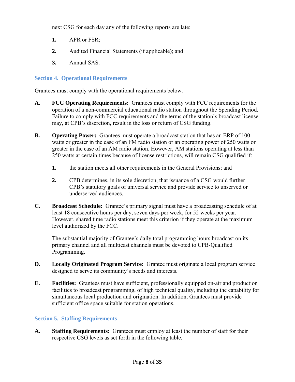next CSG for each day any of the following reports are late:

- **1.** AFR or FSR;
- **2.** Audited Financial Statements (if applicable); and
- **3.** Annual SAS.

#### **Section 4. Operational Requirements**

Grantees must comply with the operational requirements below.

- **A. FCC Operating Requirements:** Grantees must comply with FCC requirements for the operation of a non-commercial educational radio station throughout the Spending Period. Failure to comply with FCC requirements and the terms of the station's broadcast license may, at CPB's discretion, result in the loss or return of CSG funding.
- **B. Operating Power:** Grantees must operate a broadcast station that has an ERP of 100 watts or greater in the case of an FM radio station or an operating power of 250 watts or greater in the case of an AM radio station. However, AM stations operating at less than 250 watts at certain times because of license restrictions, will remain CSG qualified if:
	- **1.** the station meets all other requirements in the General Provisions; and
	- **2.** CPB determines, in its sole discretion, that issuance of a CSG would further CPB's statutory goals of universal service and provide service to unserved or underserved audiences.
- **C. Broadcast Schedule:** Grantee's primary signal must have a broadcasting schedule of at least 18 consecutive hours per day, seven days per week, for 52 weeks per year. However, shared time radio stations meet this criterion if they operate at the maximum level authorized by the FCC.

The substantial majority of Grantee's daily total programming hours broadcast on its primary channel and all multicast channels must be devoted to CPB-Qualified Programming.

- **D. Locally Originated Program Service:** Grantee must originate a local program service designed to serve its community's needs and interests.
- **E. Facilities:** Grantees must have sufficient, professionally equipped on-air and production facilities to broadcast programming, of high technical quality, including the capability for simultaneous local production and origination. In addition, Grantees must provide sufficient office space suitable for station operations.

#### **Section 5. Staffing Requirements**

**A. Staffing Requirements:** Grantees must employ at least the number of staff for their respective CSG levels as set forth in the following table.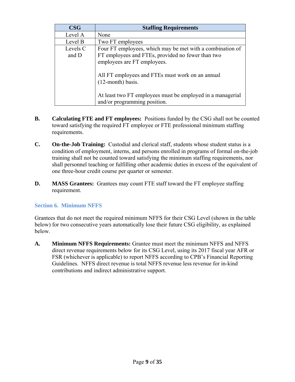| $\bf{CSG}$        | <b>Staffing Requirements</b>                                                                                                                  |
|-------------------|-----------------------------------------------------------------------------------------------------------------------------------------------|
| Level A           | None                                                                                                                                          |
| Level B           | Two FT employees                                                                                                                              |
| Levels C<br>and D | Four FT employees, which may be met with a combination of<br>FT employees and FTEs, provided no fewer than two<br>employees are FT employees. |
|                   | All FT employees and FTEs must work on an annual<br>$(12$ -month) basis.                                                                      |
|                   | At least two FT employees must be employed in a managerial<br>and/or programming position.                                                    |

- **B. Calculating FTE and FT employees:** Positions funded by the CSG shall not be counted toward satisfying the required FT employee or FTE professional minimum staffing requirements.
- **C. On-the-Job Training:** Custodial and clerical staff, students whose student status is a condition of employment, interns, and persons enrolled in programs of formal on-the-job training shall not be counted toward satisfying the minimum staffing requirements, nor shall personnel teaching or fulfilling other academic duties in excess of the equivalent of one three-hour credit course per quarter or semester.
- **D. MASS Grantees:** Grantees may count FTE staff toward the FT employee staffing requirement.

### **Section 6. Minimum NFFS**

Grantees that do not meet the required minimum NFFS for their CSG Level (shown in the table below) for two consecutive years automatically lose their future CSG eligibility, as explained below.

**A. Minimum NFFS Requirements:** Grantee must meet the minimum NFFS and NFFS direct revenue requirements below for its CSG Level, using its 2017 fiscal year AFR or FSR (whichever is applicable) to report NFFS according to CPB's Financial Reporting Guidelines. NFFS direct revenue is total NFFS revenue less revenue for in-kind contributions and indirect administrative support.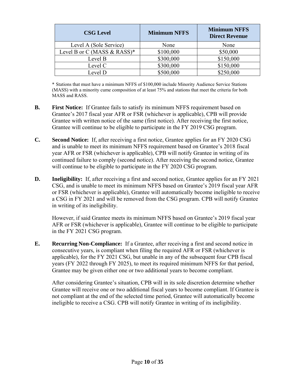| <b>CSG Level</b>              | <b>Minimum NFFS</b> | <b>Minimum NFFS</b><br><b>Direct Revenue</b> |  |
|-------------------------------|---------------------|----------------------------------------------|--|
| Level A (Sole Service)        | None                | None                                         |  |
| Level B or C (MASS $&$ RASS)* | \$100,000           | \$50,000                                     |  |
| Level B                       | \$300,000           | \$150,000                                    |  |
| Level C                       | \$300,000           | \$150,000                                    |  |
| Level D                       | \$500,000           | \$250,000                                    |  |

 \* Stations that must have a minimum NFFS of \$100,000 include Minority Audience Service Stations (MASS) with a minority cume composition of at least 75% and stations that meet the criteria for both MASS and RASS.

- **B. First Notice:** If Grantee fails to satisfy its minimum NFFS requirement based on Grantee's 2017 fiscal year AFR or FSR (whichever is applicable), CPB will provide Grantee with written notice of the same (first notice). After receiving the first notice, Grantee will continue to be eligible to participate in the FY 2019 CSG program.
- **C. Second Notice:** If, after receiving a first notice, Grantee applies for an FY 2020 CSG and is unable to meet its minimum NFFS requirement based on Grantee's 2018 fiscal year AFR or FSR (whichever is applicable), CPB will notify Grantee in writing of its continued failure to comply (second notice). After receiving the second notice, Grantee will continue to be eligible to participate in the FY 2020 CSG program.
- **D. Ineligibility:** If, after receiving a first and second notice, Grantee applies for an FY 2021 CSG, and is unable to meet its minimum NFFS based on Grantee's 2019 fiscal year AFR or FSR (whichever is applicable), Grantee will automatically become ineligible to receive a CSG in FY 2021 and will be removed from the CSG program. CPB will notify Grantee in writing of its ineligibility.

However, if said Grantee meets its minimum NFFS based on Grantee's 2019 fiscal year AFR or FSR (whichever is applicable), Grantee will continue to be eligible to participate in the FY 2021 CSG program.

**E. Recurring Non-Compliance:** If a Grantee, after receiving a first and second notice in consecutive years, is compliant when filing the required AFR or FSR (whichever is applicable), for the FY 2021 CSG, but unable in any of the subsequent four CPB fiscal years (FY 2022 through FY 2025), to meet its required minimum NFFS for that period, Grantee may be given either one or two additional years to become compliant.

After considering Grantee's situation, CPB will in its sole discretion determine whether Grantee will receive one or two additional fiscal years to become compliant. If Grantee is not compliant at the end of the selected time period, Grantee will automatically become ineligible to receive a CSG. CPB will notify Grantee in writing of its ineligibility.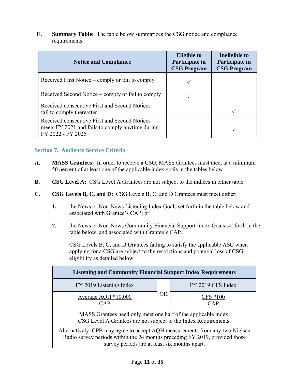**F. Summary Table:** The table below summarizes the CSG notice and compliance requirements.

| <b>Notice and Compliance</b>                                                                                             | <b>Eligible to</b><br>Participate in<br><b>CSG Program</b> | Ineligible to<br>Participate in<br><b>CSG Program</b> |
|--------------------------------------------------------------------------------------------------------------------------|------------------------------------------------------------|-------------------------------------------------------|
| Received First Notice – comply or fail to comply                                                                         |                                                            |                                                       |
| Received Second Notice – comply or fail to comply                                                                        |                                                            |                                                       |
| Received consecutive First and Second Notices –<br>fail to comply thereafter                                             |                                                            |                                                       |
| Received consecutive First and Second Notices –<br>meets FY 2021 and fails to comply anytime during<br>FY 2022 - FY 2025 |                                                            |                                                       |

### **Section 7. Audience Service Criteria**

- **A. MASS Grantees:** In order to receive a CSG, MASS Grantees must meet at a minimum 50 percent of at least one of the applicable index goals in the tables below.
- **B. CSG Level A:** CSG Level A Grantees are not subject to the indices in either table.
- **C. CSG Levels B, C, and D:** CSG Levels B, C, and D Grantees must meet either:
	- **1.** the News or Non-News Listening Index Goals set forth in the table below and associated with Grantee's CAP; or
	- **2.** the News or Non-News Community Financial Support Index Goals set forth in the table below, and associated with Grantee's CAP.

CSG Levels B, C, and D Grantees failing to satisfy the applicable ASC when applying for a CSG are subject to the restrictions and potential loss of CSG eligibility as detailed below.

| <b>Listening and Community Financial Support Index Requirements</b>                                                                                                                                          |           |                    |  |  |  |
|--------------------------------------------------------------------------------------------------------------------------------------------------------------------------------------------------------------|-----------|--------------------|--|--|--|
| FY 2019 Listening Index                                                                                                                                                                                      |           | FY 2019 CFS Index  |  |  |  |
| Average AQH $*10,000$<br>CAP                                                                                                                                                                                 | <b>OR</b> | $CFS * 100$<br>CAP |  |  |  |
| MASS Grantees need only meet one half of the applicable index.<br>CSG Level A Grantees are not subject to the Index Requirements.                                                                            |           |                    |  |  |  |
| Alternatively, CPB may agree to accept AQH measurements from any two Nielsen<br>Radio survey periods within the 24 months preceding FY 2019, provided those<br>survey periods are at least six months apart. |           |                    |  |  |  |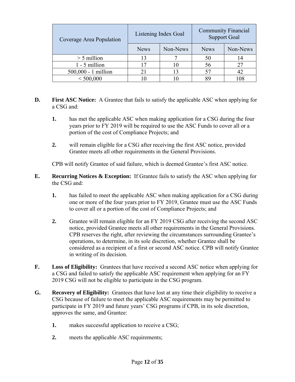| Coverage Area Population |             | Listening Index Goal | <b>Community Financial</b><br><b>Support Goal</b> |          |
|--------------------------|-------------|----------------------|---------------------------------------------------|----------|
|                          | <b>News</b> | Non-News             | <b>News</b>                                       | Non-News |
| $>$ 5 million            | 13          |                      | 50                                                | 14       |
| 1 - 5 million            |             |                      | 56                                                |          |
| 500,000 - 1 million      |             | 13                   |                                                   |          |
| < 500,000                |             |                      |                                                   |          |

- **D. First ASC Notice:** A Grantee that fails to satisfy the applicable ASC when applying for a CSG and:
	- **1.** has met the applicable ASC when making application for a CSG during the four years prior to FY 2019 will be required to use the ASC Funds to cover all or a portion of the cost of Compliance Projects; and
	- **2.** will remain eligible for a CSG after receiving the first ASC notice, provided Grantee meets all other requirements in the General Provisions.

CPB will notify Grantee of said failure, which is deemed Grantee's first ASC notice.

- **E. Recurring Notices & Exception:** If Grantee fails to satisfy the ASC when applying for the CSG and:
	- **1.** has failed to meet the applicable ASC when making application for a CSG during one or more of the four years prior to FY 2019, Grantee must use the ASC Funds to cover all or a portion of the cost of Compliance Projects; and
	- **2.** Grantee will remain eligible for an FY 2019 CSG after receiving the second ASC notice, provided Grantee meets all other requirements in the General Provisions. CPB reserves the right, after reviewing the circumstances surrounding Grantee's operations, to determine, in its sole discretion, whether Grantee shall be considered as a recipient of a first or second ASC notice. CPB will notify Grantee in writing of its decision.
- **F. Loss of Eligibility:** Grantees that have received a second ASC notice when applying for a CSG and failed to satisfy the applicable ASC requirement when applying for an FY 2019 CSG will not be eligible to participate in the CSG program.
- **G. Recovery of Eligibility:** Grantees that have lost at any time their eligibility to receive a CSG because of failure to meet the applicable ASC requirements may be permitted to participate in FY 2019 and future years' CSG programs if CPB, in its sole discretion, approves the same, and Grantee:
	- **1.** makes successful application to receive a CSG;
	- **2.** meets the applicable ASC requirements;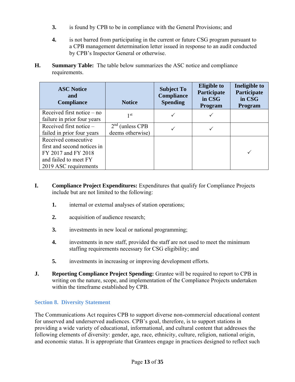- **3.** is found by CPB to be in compliance with the General Provisions; and
- **4.** is not barred from participating in the current or future CSG program pursuant to a CPB management determination letter issued in response to an audit conducted by CPB's Inspector General or otherwise.
- **H. Summary Table:** The table below summarizes the ASC notice and compliance requirements.

| <b>ASC Notice</b><br>and<br>Compliance                                                                                       | <b>Notice</b>                         | <b>Subject To</b><br><b>Compliance</b><br><b>Spending</b> | <b>Eligible to</b><br>Participate<br>in CSG<br><b>Program</b> | Ineligible to<br>Participate<br>in CSG<br>Program |
|------------------------------------------------------------------------------------------------------------------------------|---------------------------------------|-----------------------------------------------------------|---------------------------------------------------------------|---------------------------------------------------|
| Received first notice $-$ no<br>failure in prior four years                                                                  | 1 <sup>st</sup>                       |                                                           |                                                               |                                                   |
| Received first notice -<br>failed in prior four years                                                                        | $2nd$ (unless CPB<br>deems otherwise) |                                                           |                                                               |                                                   |
| Received consecutive<br>first and second notices in<br>FY 2017 and FY 2018<br>and failed to meet FY<br>2019 ASC requirements |                                       |                                                           |                                                               |                                                   |

- **I. Compliance Project Expenditures:** Expenditures that qualify for Compliance Projects include but are not limited to the following:
	- **1.** internal or external analyses of station operations;
	- **2.** acquisition of audience research;
	- **3.** investments in new local or national programming;
	- **4.** investments in new staff, provided the staff are not used to meet the minimum staffing requirements necessary for CSG eligibility; and
	- **5.** investments in increasing or improving development efforts.
- **J. Reporting Compliance Project Spending:** Grantee will be required to report to CPB in writing on the nature, scope, and implementation of the Compliance Projects undertaken within the timeframe established by CPB.

#### **Section 8. Diversity Statement**

The Communications Act requires CPB to support diverse non-commercial educational content for unserved and underserved audiences. CPB's goal, therefore, is to support stations in providing a wide variety of educational, informational, and cultural content that addresses the following elements of diversity: gender, age, race, ethnicity, culture, religion, national origin, and economic status. It is appropriate that Grantees engage in practices designed to reflect such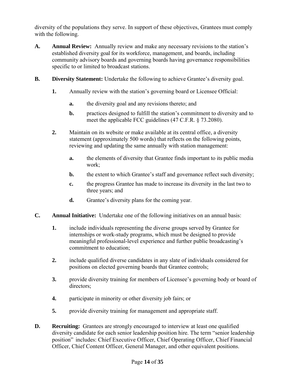diversity of the populations they serve. In support of these objectives, Grantees must comply with the following.

- **A. Annual Review:** Annually review and make any necessary revisions to the station's established diversity goal for its workforce, management, and boards, including community advisory boards and governing boards having governance responsibilities specific to or limited to broadcast stations.
- **B. Diversity Statement:** Undertake the following to achieve Grantee's diversity goal.
	- **1.** Annually review with the station's governing board or Licensee Official:
		- **a.** the diversity goal and any revisions thereto; and
		- **b.** practices designed to fulfill the station's commitment to diversity and to meet the applicable FCC guidelines (47 C.F.R. § 73.2080).
	- **2.** Maintain on its website or make available at its central office, a diversity statement (approximately 500 words) that reflects on the following points, reviewing and updating the same annually with station management:
		- **a.** the elements of diversity that Grantee finds important to its public media work;
		- **b.** the extent to which Grantee's staff and governance reflect such diversity;
		- **c.** the progress Grantee has made to increase its diversity in the last two to three years; and
		- **d.** Grantee's diversity plans for the coming year.
- **C. Annual Initiative:** Undertake one of the following initiatives on an annual basis:
	- **1.** include individuals representing the diverse groups served by Grantee for internships or work-study programs, which must be designed to provide meaningful professional-level experience and further public broadcasting's commitment to education;
	- **2.** include qualified diverse candidates in any slate of individuals considered for positions on elected governing boards that Grantee controls;
	- **3.** provide diversity training for members of Licensee's governing body or board of directors;
	- **4.** participate in minority or other diversity job fairs; or
	- **5.** provide diversity training for management and appropriate staff.
- **D. Recruiting:** Grantees are strongly encouraged to interview at least one qualified diversity candidate for each senior leadership position hire. The term "senior leadership position" includes: Chief Executive Officer, Chief Operating Officer, Chief Financial Officer, Chief Content Officer, General Manager, and other equivalent positions.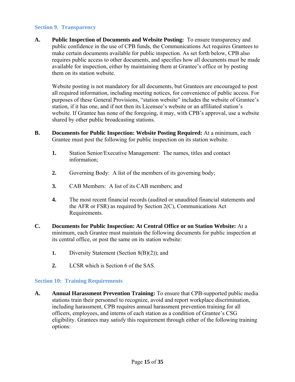#### **Section 9. Transparency**

**A. Public Inspection of Documents and Website Posting:** To ensure transparency and public confidence in the use of CPB funds, the Communications Act requires Grantees to make certain documents available for public inspection. As set forth below, CPB also requires public access to other documents, and specifies how all documents must be made available for inspection, either by maintaining them at Grantee's office or by posting them on its station website.

Website posting is not mandatory for all documents, but Grantees are encouraged to post all required information, including meeting notices, for convenience of public access. For purposes of these General Provisions, "station website" includes the website of Grantee's station, if it has one, and if not then its Licensee's website or an affiliated station's website. If Grantee has none of the foregoing, it may, with CPB's approval, use a website shared by other public broadcasting stations.

- **B. Documents for Public Inspection: Website Posting Required:** At a minimum, each Grantee must post the following for public inspection on its station website.
	- **1.** Station Senior/Executive Management:The names, titles and contact information;
	- **2.** Governing Body: A list of the members of its governing body;
	- **3.** CAB Members: A list of its CAB members; and
	- **4.** The most recent financial records (audited or unaudited financial statements and the AFR or FSR) as required by Section 2(C), Communications Act Requirements.
- **C. Documents for Public Inspection: At Central Office or on Station Website:** At a minimum, each Grantee must maintain the following documents for public inspection at its central office, or post the same on its station website:
	- **1.** Diversity Statement (Section 8(B)(2)); and
	- **2.** LCSR which is Section 6 of the SAS.

#### **Section 10: Training Requirements**

**A. Annual Harassment Prevention Training:** To ensure that CPB-supported public media stations train their personnel to recognize, avoid and report workplace discrimination, including harassment, CPB requires annual harassment prevention training for all officers, employees, and interns of each station as a condition of Grantee's CSG eligibility. Grantees may satisfy this requirement through either of the following training options: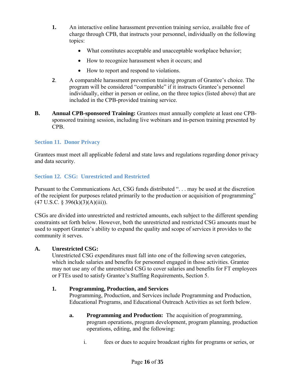- **1.** An interactive online harassment prevention training service, available free of charge through CPB, that instructs your personnel, individually on the following topics:
	- What constitutes acceptable and unacceptable workplace behavior;
	- How to recognize harassment when it occurs; and
	- How to report and respond to violations.
- **2**. A comparable harassment prevention training program of Grantee's choice. The program will be considered "comparable" if it instructs Grantee's personnel individually, either in person or online, on the three topics (listed above) that are included in the CPB-provided training service.
- **B. Annual CPB-sponsored Training:** Grantees must annually complete at least one CPBsponsored training session, including live webinars and in-person training presented by CPB.

#### **Section 11. Donor Privacy**

Grantees must meet all applicable federal and state laws and regulations regarding donor privacy and data security.

**Section 12. CSG: Unrestricted and Restricted** 

Pursuant to the Communications Act, CSG funds distributed ". . . may be used at the discretion of the recipient for purposes related primarily to the production or acquisition of programming"  $(47 \text{ U.S.C. } § 396(k)(3)(A)(iii)).$ 

CSGs are divided into unrestricted and restricted amounts, each subject to the different spending constraints set forth below. However, both the unrestricted and restricted CSG amounts must be used to support Grantee's ability to expand the quality and scope of services it provides to the community it serves.

#### **A. Unrestricted CSG:**

 Unrestricted CSG expenditures must fall into one of the following seven categories, which include salaries and benefits for personnel engaged in those activities. Grantee may not use any of the unrestricted CSG to cover salaries and benefits for FT employees or FTEs used to satisfy Grantee's Staffing Requirements, Section 5.

#### **1. Programming, Production, and Services**

Programming, Production, and Services include Programming and Production, Educational Programs, and Educational Outreach Activities as set forth below.

- **a. Programming and Production:** The acquisition of programming, program operations, program development, program planning, production operations, editing, and the following:
	- i. fees or dues to acquire broadcast rights for programs or series, or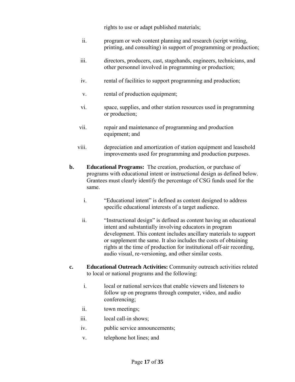rights to use or adapt published materials;

- ii. program or web content planning and research (script writing, printing, and consulting) in support of programming or production;
- iii. directors, producers, cast, stagehands, engineers, technicians, and other personnel involved in programming or production;
- iv. rental of facilities to support programming and production;
- v. rental of production equipment;
- vi. space, supplies, and other station resources used in programming or production;
- vii. repair and maintenance of programming and production equipment; and
- viii. depreciation and amortization of station equipment and leasehold improvements used for programming and production purposes.
- **b. Educational Programs:** The creation, production, or purchase of programs with educational intent or instructional design as defined below. Grantees must clearly identify the percentage of CSG funds used for the same.
	- i. "Educational intent" is defined as content designed to address specific educational interests of a target audience.
	- ii. "Instructional design" is defined as content having an educational intent and substantially involving educators in program development. This content includes ancillary materials to support or supplement the same. It also includes the costs of obtaining rights at the time of production for institutional off-air recording, audio visual, re-versioning, and other similar costs.
- **c. Educational Outreach Activities:** Community outreach activities related to local or national programs and the following:
	- i. local or national services that enable viewers and listeners to follow up on programs through computer, video, and audio conferencing;
	- ii. town meetings;
	- iii. local call-in shows;
	- iv. public service announcements;
	- v. telephone hot lines; and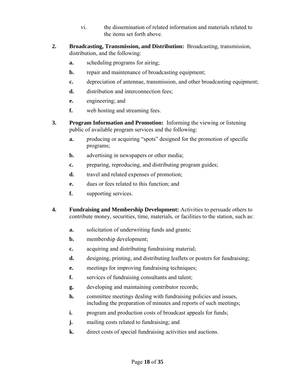- vi. the dissemination of related information and materials related to the items set forth above.
- **2. Broadcasting, Transmission, and Distribution:** Broadcasting, transmission, distribution, and the following:
	- **a.** scheduling programs for airing;
	- **b.** repair and maintenance of broadcasting equipment;
	- **c.** depreciation of antennae, transmission, and other broadcasting equipment;
	- **d.** distribution and interconnection fees;
	- **e.** engineering; and
	- **f.** web hosting and streaming fees.
- **3. Program Information and Promotion:** Informing the viewing or listening public of available program services and the following:
	- **a.** producing or acquiring "spots" designed for the promotion of specific programs;
	- **b.** advertising in newspapers or other media;
	- **c.** preparing, reproducing, and distributing program guides;
	- **d.** travel and related expenses of promotion;
	- **e.** dues or fees related to this function; and
	- **f.** supporting services.
- **4. Fundraising and Membership Development:** Activities to persuade others to contribute money, securities, time, materials, or facilities to the station, such as:
	- **a.** solicitation of underwriting funds and grants;
	- **b.** membership development;
	- **c.** acquiring and distributing fundraising material;
	- **d.** designing, printing, and distributing leaflets or posters for fundraising;
	- **e.** meetings for improving fundraising techniques;
	- **f.** services of fundraising consultants and talent;
	- **g.** developing and maintaining contributor records;
	- **h.** committee meetings dealing with fundraising policies and issues, including the preparation of minutes and reports of such meetings;
	- **i.** program and production costs of broadcast appeals for funds;
	- **j.** mailing costs related to fundraising; and
	- **k.** direct costs of special fundraising activities and auctions.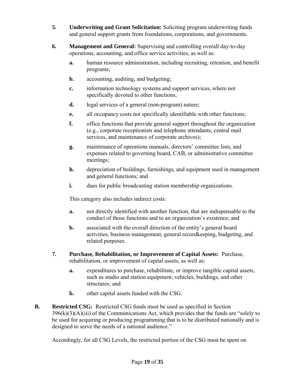- **5. Underwriting and Grant Solicitation:** Soliciting program underwriting funds and general support grants from foundations, corporations, and governments.
- **6. Management and General:** Supervising and controlling overall day-to-day operations, accounting, and office service activities, as well as:
	- **a.** human resource administration, including recruiting, retention, and benefit programs;
	- **b.** accounting, auditing, and budgeting;
	- **c.** information technology systems and support services, where not specifically devoted to other functions;
	- **d.** legal services of a general (non-program) nature;
	- **e.** all occupancy costs not specifically identifiable with other functions;
	- **f.** office functions that provide general support throughout the organization (e.g., corporate receptionists and telephone attendants, central mail services, and maintenance of corporate archives);
	- **g.** maintenance of operations manuals, directors' committee lists, and expenses related to governing board, CAB, or administrative committee meetings;
	- **h.** depreciation of buildings, furnishings, and equipment used in management and general functions; and
	- **i.** dues for public broadcasting station membership organizations.

This category also includes indirect costs:

- **a.** not directly identified with another function, that are indispensable to the conduct of those functions and to an organization's existence; and
- **b.** associated with the overall direction of the entity's general board activities, business management, general recordkeeping, budgeting, and related purposes.
- **7. Purchase, Rehabilitation, or Improvement of Capital Assets:** Purchase, rehabilitation, or improvement of capital assets, as well as:
	- **a.** expenditures to purchase, rehabilitate, or improve tangible capital assets, such as studio and station equipment, vehicles, buildings, and other structures; and
	- **b.** other capital assets funded with the CSG.
- **B. Restricted CSG:** Restricted CSG funds must be used as specified in Section  $396(k)(3)(A)(iii)$  of the Communications Act, which provides that the funds are "solely to be used for acquiring or producing programming that is to be distributed nationally and is designed to serve the needs of a national audience."

Accordingly, for all CSG Levels, the restricted portion of the CSG must be spent on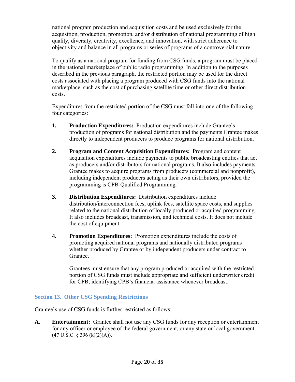national program production and acquisition costs and be used exclusively for the acquisition, production, promotion, and/or distribution of national programming of high quality, diversity, creativity, excellence, and innovation, with strict adherence to objectivity and balance in all programs or series of programs of a controversial nature.

To qualify as a national program for funding from CSG funds, a program must be placed in the national marketplace of public radio programming. In addition to the purposes described in the previous paragraph, the restricted portion may be used for the direct costs associated with placing a program produced with CSG funds into the national marketplace, such as the cost of purchasing satellite time or other direct distribution costs.

Expenditures from the restricted portion of the CSG must fall into one of the following four categories:

- **1. Production Expenditures:** Production expenditures include Grantee's production of programs for national distribution and the payments Grantee makes directly to independent producers to produce programs for national distribution.
- **2. Program and Content Acquisition Expenditures:** Program and content acquisition expenditures include payments to public broadcasting entities that act as producers and/or distributors for national programs. It also includes payments Grantee makes to acquire programs from producers (commercial and nonprofit), including independent producers acting as their own distributors, provided the programming is CPB-Qualified Programming.
- **3. Distribution Expenditures:** Distribution expenditures include distribution/interconnection fees, uplink fees, satellite space costs, and supplies related to the national distribution of locally produced or acquired programming. It also includes broadcast, transmission, and technical costs. It does not include the cost of equipment.
- **4. Promotion Expenditures:** Promotion expenditures include the costs of promoting acquired national programs and nationally distributed programs whether produced by Grantee or by independent producers under contract to Grantee.

Grantees must ensure that any program produced or acquired with the restricted portion of CSG funds must include appropriate and sufficient underwriter credit for CPB, identifying CPB's financial assistance whenever broadcast.

#### **Section 13. Other CSG Spending Restrictions**

Grantee's use of CSG funds is further restricted as follows:

**A. Entertainment:** Grantee shall not use any CSG funds for any reception or entertainment for any officer or employee of the federal government, or any state or local government  $(47 \text{ U.S.C. } § 396 \text{ (k)}(2)(A)).$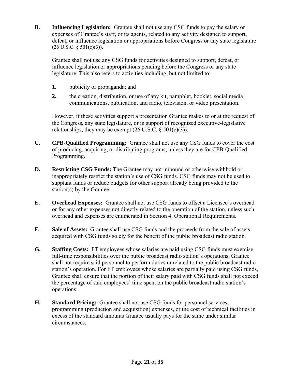**B. Influencing Legislation:** Grantee shall not use any CSG funds to pay the salary or expenses of Grantee's staff, or its agents, related to any activity designed to support, defeat, or influence legislation or appropriations before Congress or any state legislature  $(26 \text{ U.S.C. } § 501(c)(3))$ .

Grantee shall not use any CSG funds for activities designed to support, defeat, or influence legislation or appropriations pending before the Congress or any state legislature. This also refers to activities including, but not limited to:

- **1.** publicity or propaganda; and
- **2.** the creation, distribution, or use of any kit, pamphlet, booklet, social media communications, publication, and radio, television, or video presentation.

However, if these activities support a presentation Grantee makes to or at the request of the Congress, any state legislature, or in support of recognized executive-legislative relationships, they may be exempt  $(26 \text{ U.S.C.} \S 501(c)(3))$ .

- **C. CPB-Qualified Programming:** Grantee shall not use any CSG funds to cover the cost of producing, acquiring, or distributing programs, unless they are for CPB-Qualified Programming.
- **D. Restricting CSG Funds:** The Grantee may not impound or otherwise withhold or inappropriately restrict the station's use of CSG funds. CSG funds may not be used to supplant funds or reduce budgets for other support already being provided to the station(s) by the Grantee.
- **E. Overhead Expenses:** Grantee shall not use CSG funds to offset a Licensee's overhead or for any other expenses not directly related to the operation of the station, unless such overhead and expenses are enumerated in Section 4, Operational Requirements.
- **F. Sale of Assets:** Grantee shall use CSG funds and the proceeds from the sale of assets acquired with CSG funds solely for the benefit of the public broadcast radio station.
- **G. Staffing Costs:** FT employees whose salaries are paid using CSG funds must exercise full-time responsibilities over the public broadcast radio station's operations. Grantee shall not require said personnel to perform duties unrelated to the public broadcast radio station's operation. For FT employees whose salaries are partially paid using CSG funds, Grantee shall ensure that the portion of their salary paid with CSG funds shall not exceed the percentage of said employees' time spent on the public broadcast radio station's operations.
- **H. Standard Pricing:** Grantee shall not use CSG funds for personnel services, programming (production and acquisition) expenses, or the cost of technical facilities in excess of the standard amounts Grantee usually pays for the same under similar circumstances.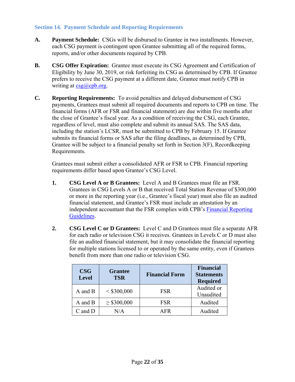#### **Section 14. Payment Schedule and Reporting Requirements**

- **A. Payment Schedule:** CSGs will be disbursed to Grantee in two installments. However, each CSG payment is contingent upon Grantee submitting all of the required forms, reports, and/or other documents required by CPB.
- **B. CSG Offer Expiration:** Grantee must execute its CSG Agreement and Certification of Eligibility by June 30, 2019, or risk forfeiting its CSG as determined by CPB. If Grantee prefers to receive the CSG payment at a different date, Grantee must notify CPB in writing at  $csg(a)$ cpb.org.
- **C. Reporting Requirements:** To avoid penalties and delayed disbursement of CSG payments, Grantees must submit all required documents and reports to CPB on time. The financial forms (AFR or FSR and financial statement) are due within five months after the close of Grantee's fiscal year. As a condition of receiving the CSG, each Grantee, regardless of level, must also complete and submit its annual SAS. The SAS data, including the station's LCSR, must be submitted to CPB by February 15. If Grantee submits its financial forms or SAS after the filing deadlines, as determined by CPB, Grantee will be subject to a financial penalty set forth in Section 3(F), Recordkeeping Requirements.

Grantees must submit either a consolidated AFR or FSR to CPB. Financial reporting requirements differ based upon Grantee's CSG Level.

- **1. CSG Level A or B Grantees:** Level A and B Grantees must file an FSR. Grantees in CSG Levels A or B that received Total Station Revenue of \$300,000 or more in the reporting year (i.e., Grantee's fiscal year) must also file an audited financial statement, and Grantee's FSR must include an attestation by an independent accountant that the FSR complies with CPB's Financial Reporting Guidelines.
- **2. CSG Level C or D Grantees:** Level C and D Grantees must file a separate AFR for each radio or television CSG it receives. Grantees in Levels C or D must also file an audited financial statement, but it may consolidate the financial reporting for multiple stations licensed to or operated by the same entity, even if Grantees benefit from more than one radio or television CSG.

| <b>CSG</b><br><b>Level</b> | <b>Grantee</b><br><b>TSR</b> | <b>Financial Form</b> | <b>Financial</b><br><b>Statements</b><br><b>Required</b> |
|----------------------------|------------------------------|-----------------------|----------------------------------------------------------|
| A and B                    | $<$ \$300,000                | FSR                   | Audited or<br>Unaudited                                  |
| A and B                    | $\geq$ \$300,000             | FSR                   | Audited                                                  |
| C and D                    | N/A                          | A FR                  | Audited                                                  |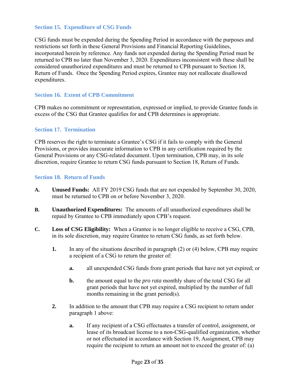#### **Section 15. Expenditure of CSG Funds**

CSG funds must be expended during the Spending Period in accordance with the purposes and restrictions set forth in these General Provisions and Financial Reporting Guidelines, incorporated herein by reference. Any funds not expended during the Spending Period must be returned to CPB no later than November 3, 2020. Expenditures inconsistent with these shall be considered unauthorized expenditures and must be returned to CPB pursuant to Section 18, Return of Funds. Once the Spending Period expires, Grantee may not reallocate disallowed expenditures.

#### **Section 16. Extent of CPB Commitment**

CPB makes no commitment or representation, expressed or implied, to provide Grantee funds in excess of the CSG that Grantee qualifies for and CPB determines is appropriate.

#### **Section 17. Termination**

CPB reserves the right to terminate a Grantee's CSG if it fails to comply with the General Provisions, or provides inaccurate information to CPB in any certification required by the General Provisions or any CSG-related document. Upon termination, CPB may, in its sole discretion, require Grantee to return CSG funds pursuant to Section 18, Return of Funds.

#### **Section 18. Return of Funds**

- **A. Unused Funds:** All FY 2019 CSG funds that are not expended by September 30, 2020, must be returned to CPB on or before November 3, 2020.
- **B. Unauthorized Expenditures:** The amounts of all unauthorized expenditures shall be repaid by Grantee to CPB immediately upon CPB's request.
- **C. Loss of CSG Eligibility:** When a Grantee is no longer eligible to receive a CSG, CPB, in its sole discretion, may require Grantee to return CSG funds, as set forth below.
	- **1.** In any of the situations described in paragraph (2) or (4) below, CPB may require a recipient of a CSG to return the greater of:
		- **a.** all unexpended CSG funds from grant periods that have not yet expired; or
		- **b.** the amount equal to the *pro rata* monthly share of the total CSG for all grant periods that have not yet expired, multiplied by the number of full months remaining in the grant period(s).
	- **2.** In addition to the amount that CPB may require a CSG recipient to return under paragraph 1 above:
		- **a.** If any recipient of a CSG effectuates a transfer of control, assignment, or lease of its broadcast license to a non-CSG-qualified organization, whether or not effectuated in accordance with Section 19, Assignment, CPB may require the recipient to return an amount not to exceed the greater of: (a)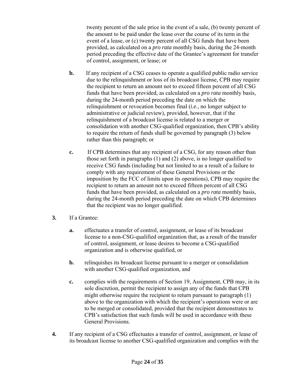twenty percent of the sale price in the event of a sale, (b) twenty percent of the amount to be paid under the lease over the course of its term in the event of a lease, or (c) twenty percent of all CSG funds that have been provided, as calculated on a *pro rata* monthly basis, during the 24-month period preceding the effective date of the Grantee's agreement for transfer of control, assignment, or lease; or

- **b.** If any recipient of a CSG ceases to operate a qualified public radio service due to the relinquishment or loss of its broadcast license, CPB may require the recipient to return an amount not to exceed fifteen percent of all CSG funds that have been provided, as calculated on a *pro rata* monthly basis, during the 24-month period preceding the date on which the relinquishment or revocation becomes final (*i.e.*, no longer subject to administrative or judicial review), provided, however, that if the relinquishment of a broadcast license is related to a merger or consolidation with another CSG-qualified organization, then CPB's ability to require the return of funds shall be governed by paragraph (3) below rather than this paragraph; or
- **c.** If CPB determines that any recipient of a CSG, for any reason other than those set forth in paragraphs (1) and (2) above, is no longer qualified to receive CSG funds (including but not limited to as a result of a failure to comply with any requirement of these General Provisions or the imposition by the FCC of limits upon its operations), CPB may require the recipient to return an amount not to exceed fifteen percent of all CSG funds that have been provided, as calculated on a *pro rata* monthly basis, during the 24-month period preceding the date on which CPB determines that the recipient was no longer qualified.
- **3.** If a Grantee:
	- **a.** effectuates a transfer of control, assignment, or lease of its broadcast license to a non-CSG-qualified organization that, as a result of the transfer of control, assignment, or lease desires to become a CSG-qualified organization and is otherwise qualified, or
	- **b.** relinquishes its broadcast license pursuant to a merger or consolidation with another CSG-qualified organization, and
	- **c.** complies with the requirements of Section 19, Assignment, CPB may, in its sole discretion, permit the recipient to assign any of the funds that CPB might otherwise require the recipient to return pursuant to paragraph (1) above to the organization with which the recipient's operations were or are to be merged or consolidated, provided that the recipient demonstrates to CPB's satisfaction that such funds will be used in accordance with these General Provisions.
- **4.** If any recipient of a CSG effectuates a transfer of control, assignment, or lease of its broadcast license to another CSG-qualified organization and complies with the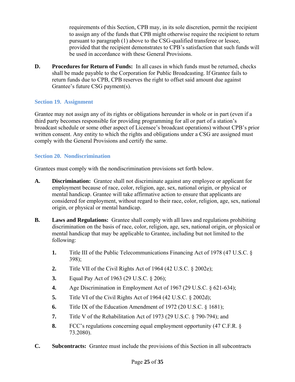requirements of this Section, CPB may, in its sole discretion, permit the recipient to assign any of the funds that CPB might otherwise require the recipient to return pursuant to paragraph (1) above to the CSG-qualified transferee or lessee, provided that the recipient demonstrates to CPB's satisfaction that such funds will be used in accordance with these General Provisions.

**D.** Procedures for Return of Funds: In all cases in which funds must be returned, checks shall be made payable to the Corporation for Public Broadcasting. If Grantee fails to return funds due to CPB, CPB reserves the right to offset said amount due against Grantee's future CSG payment(s).

#### **Section 19. Assignment**

Grantee may not assign any of its rights or obligations hereunder in whole or in part (even if a third party becomes responsible for providing programming for all or part of a station's broadcast schedule or some other aspect of Licensee's broadcast operations) without CPB's prior written consent. Any entity to which the rights and obligations under a CSG are assigned must comply with the General Provisions and certify the same.

### **Section 20. Nondiscrimination**

Grantees must comply with the nondiscrimination provisions set forth below.

- **A. Discrimination:** Grantee shall not discriminate against any employee or applicant for employment because of race, color, religion, age, sex, national origin, or physical or mental handicap. Grantee will take affirmative action to ensure that applicants are considered for employment, without regard to their race, color, religion, age, sex, national origin, or physical or mental handicap.
- **B. Laws and Regulations:** Grantee shall comply with all laws and regulations prohibiting discrimination on the basis of race, color, religion, age, sex, national origin, or physical or mental handicap that may be applicable to Grantee, including but not limited to the following:
	- **1.** Title III of the Public Telecommunications Financing Act of 1978 (47 U.S.C. § 398);
	- **2.** Title VII of the Civil Rights Act of 1964 (42 U.S.C. § 2002e);
	- **3.** Equal Pay Act of 1963 (29 U.S.C. § 206);
	- **4.** Age Discrimination in Employment Act of 1967 (29 U.S.C. § 621-634);
	- **5.** Title VI of the Civil Rights Act of 1964 (42 U.S.C. § 2002d);
	- **6.** Title IX of the Education Amendment of 1972 (20 U.S.C. § 1681);
	- **7.** Title V of the Rehabilitation Act of 1973 (29 U.S.C. § 790-794); and
	- **8.** FCC's regulations concerning equal employment opportunity (47 C.F.R. § 73.2080).
- **C. Subcontracts:** Grantee must include the provisions of this Section in all subcontracts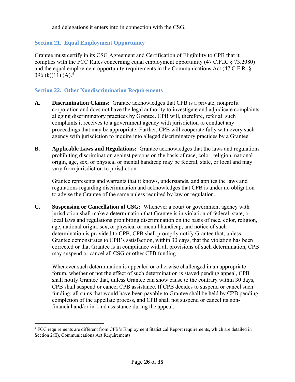and delegations it enters into in connection with the CSG.

### **Section 21. Equal Employment Opportunity**

Grantee must certify in its CSG Agreement and Certification of Eligibility to CPB that it complies with the FCC Rules concerning equal employment opportunity (47 C.F.R. § 73.2080) and the equal employment opportunity requirements in the Communications Act (47 C.F.R. § 396 (k)(11) (A).<sup>4</sup>

#### **Section 22. Other Nondiscrimination Requirements**

- **A. Discrimination Claims:** Grantee acknowledges that CPB is a private, nonprofit corporation and does not have the legal authority to investigate and adjudicate complaints alleging discriminatory practices by Grantee. CPB will, therefore, refer all such complaints it receives to a government agency with jurisdiction to conduct any proceedings that may be appropriate. Further, CPB will cooperate fully with every such agency with jurisdiction to inquire into alleged discriminatory practices by a Grantee.
- **B. Applicable Laws and Regulations:** Grantee acknowledges that the laws and regulations prohibiting discrimination against persons on the basis of race, color, religion, national origin, age, sex, or physical or mental handicap may be federal, state, or local and may vary from jurisdiction to jurisdiction.

Grantee represents and warrants that it knows, understands, and applies the laws and regulations regarding discrimination and acknowledges that CPB is under no obligation to advise the Grantee of the same unless required by law or regulation.

**C. Suspension or Cancellation of CSG:** Whenever a court or government agency with jurisdiction shall make a determination that Grantee is in violation of federal, state, or local laws and regulations prohibiting discrimination on the basis of race, color, religion, age, national origin, sex, or physical or mental handicap, and notice of such determination is provided to CPB, CPB shall promptly notify Grantee that, unless Grantee demonstrates to CPB's satisfaction, within 30 days, that the violation has been corrected or that Grantee is in compliance with all provisions of such determination, CPB may suspend or cancel all CSG or other CPB funding.

Whenever such determination is appealed or otherwise challenged in an appropriate forum, whether or not the effect of such determination is stayed pending appeal, CPB shall notify Grantee that, unless Grantee can show cause to the contrary within 30 days, CPB shall suspend or cancel CPB assistance. If CPB decides to suspend or cancel such funding, all sums that would have been payable to Grantee shall be held by CPB pending completion of the appellate process, and CPB shall not suspend or cancel its nonfinancial and/or in-kind assistance during the appeal.

 $\overline{a}$ 

<sup>4</sup> FCC requirements are different from CPB's Employment Statistical Report requirements, which are detailed in Section 2(E), Communications Act Requirements.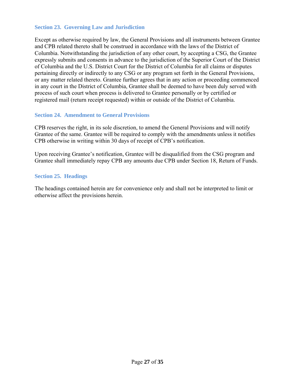#### **Section 23. Governing Law and Jurisdiction**

Except as otherwise required by law, the General Provisions and all instruments between Grantee and CPB related thereto shall be construed in accordance with the laws of the District of Columbia. Notwithstanding the jurisdiction of any other court, by accepting a CSG, the Grantee expressly submits and consents in advance to the jurisdiction of the Superior Court of the District of Columbia and the U.S. District Court for the District of Columbia for all claims or disputes pertaining directly or indirectly to any CSG or any program set forth in the General Provisions, or any matter related thereto. Grantee further agrees that in any action or proceeding commenced in any court in the District of Columbia, Grantee shall be deemed to have been duly served with process of such court when process is delivered to Grantee personally or by certified or registered mail (return receipt requested) within or outside of the District of Columbia.

#### **Section 24. Amendment to General Provisions**

CPB reserves the right, in its sole discretion, to amend the General Provisions and will notify Grantee of the same. Grantee will be required to comply with the amendments unless it notifies CPB otherwise in writing within 30 days of receipt of CPB's notification.

Upon receiving Grantee's notification, Grantee will be disqualified from the CSG program and Grantee shall immediately repay CPB any amounts due CPB under Section 18, Return of Funds.

#### **Section 25. Headings**

The headings contained herein are for convenience only and shall not be interpreted to limit or otherwise affect the provisions herein.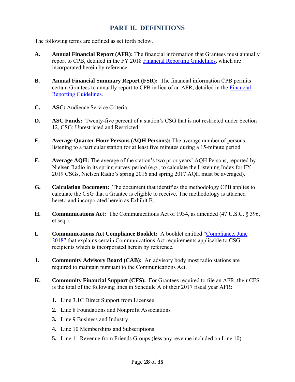## **PART II. DEFINITIONS**

The following terms are defined as set forth below.

- **A. Annual Financial Report (AFR):** The financial information that Grantees must annually report to CPB, detailed in the FY 2018 Financial Reporting Guidelines, which are incorporated herein by reference.
- **B. Annual Financial Summary Report (FSR):** The financial information CPB permits certain Grantees to annually report to CPB in lieu of an AFR, detailed in the Financial Reporting Guidelines.
- **C. ASC:** Audience Service Criteria.
- **D. ASC Funds:** Twenty-five percent of a station's CSG that is not restricted under Section 12, CSG: Unrestricted and Restricted.
- **E. Average Quarter Hour Persons (AQH Persons):** The average number of persons listening to a particular station for at least five minutes during a 15-minute period.
- **F. Average AQH:** The average of the station's two prior years' AQH Persons, reported by Nielsen Radio in its spring survey period (e.g., to calculate the Listening Index for FY 2019 CSGs, Nielsen Radio's spring 2016 and spring 2017 AQH must be averaged).
- **G. Calculation Document:** The document that identifies the methodology CPB applies to calculate the CSG that a Grantee is eligible to receive. The methodology is attached hereto and incorporated herein as Exhibit B.
- **H. Communications Act:** The Communications Act of 1934, as amended (47 U.S.C. § 396, et seq.).
- **I. Communications Act Compliance Booklet:** A booklet entitled "Compliance, June 2018" that explains certain Communications Act requirements applicable to CSG recipients which is incorporated herein by reference.
- **J. Community Advisory Board (CAB):** An advisory body most radio stations are required to maintain pursuant to the Communications Act.
- **K. Community Financial Support (CFS):** For Grantees required to file an AFR, their CFS is the total of the following lines in Schedule A of their 2017 fiscal year AFR:
	- **1.** Line 3.1C Direct Support from Licensee
	- **2.** Line 8 Foundations and Nonprofit Associations
	- **3.** Line 9 Business and Industry
	- **4.** Line 10 Memberships and Subscriptions
	- **5.** Line 11 Revenue from Friends Groups (less any revenue included on Line 10)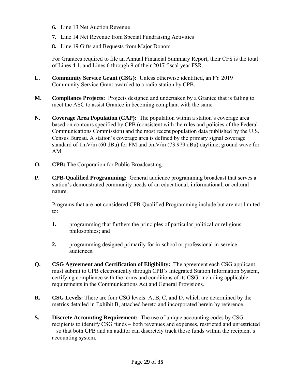- **6.** Line 13 Net Auction Revenue
- **7.** Line 14 Net Revenue from Special Fundraising Activities
- **8.** Line 19 Gifts and Bequests from Major Donors

For Grantees required to file an Annual Financial Summary Report, their CFS is the total of Lines 4.1, and Lines 6 through 9 of their 2017 fiscal year FSR.

- **L. Community Service Grant (CSG):** Unless otherwise identified, an FY 2019 Community Service Grant awarded to a radio station by CPB.
- **M. Compliance Projects:** Projects designed and undertaken by a Grantee that is failing to meet the ASC to assist Grantee in becoming compliant with the same.
- **N. Coverage Area Population (CAP):** The population within a station's coverage area based on contours specified by CPB (consistent with the rules and policies of the Federal Communications Commission) and the most recent population data published by the U.S. Census Bureau. A station's coverage area is defined by the primary signal coverage standard of 1mV/m (60 dBu) for FM and 5mV/m (73.979 dBu) daytime, ground wave for AM.
- **O. CPB:** The Corporation for Public Broadcasting.
- **P. CPB-Qualified Programming:** General audience programming broadcast that serves a station's demonstrated community needs of an educational, informational, or cultural nature.

Programs that are not considered CPB-Qualified Programming include but are not limited to:

- **1.** programming that furthers the principles of particular political or religious philosophies; and
- **2.** programming designed primarily for in-school or professional in-service audiences.
- **Q. CSG Agreement and Certification of Eligibility:** The agreement each CSG applicant must submit to CPB electronically through CPB's Integrated Station Information System, certifying compliance with the terms and conditions of its CSG, including applicable requirements in the Communications Act and General Provisions.
- **R. CSG Levels:** There are four CSG levels: A, B, C, and D, which are determined by the metrics detailed in Exhibit B, attached hereto and incorporated herein by reference.
- **S. Discrete Accounting Requirement:** The use of unique accounting codes by CSG recipients to identify CSG funds – both revenues and expenses, restricted and unrestricted – so that both CPB and an auditor can discretely track those funds within the recipient's accounting system.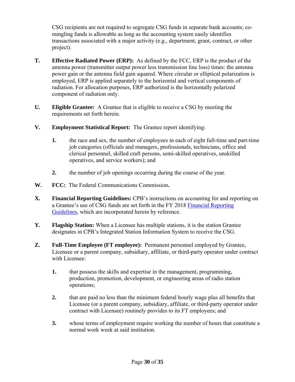CSG recipients are not required to segregate CSG funds in separate bank accounts; comingling funds is allowable as long as the accounting system easily identifies transactions associated with a major activity (e.g., department, grant, contract, or other project).

- **T. Effective Radiated Power (ERP):** As defined by the FCC, ERP is the product of the antenna power (transmitter output power less transmission line loss) times: the antenna power gain or the antenna field gain squared. Where circular or elliptical polarization is employed, ERP is applied separately to the horizontal and vertical components of radiation. For allocation purposes, ERP authorized is the horizontally polarized component of radiation only.
- **U. Eligible Grantee:** A Grantee that is eligible to receive a CSG by meeting the requirements set forth herein.
- **V. Employment Statistical Report:** The Grantee report identifying:
	- **1.** the race and sex, the number of employees in each of eight full-time and part-time job categories (officials and managers, professionals, technicians, office and clerical personnel, skilled craft persons, semi-skilled operatives, unskilled operatives, and service workers); and
	- **2.** the number of job openings occurring during the course of the year.
- **W. FCC:** The Federal Communications Commission**.**
- **X. Financial Reporting Guidelines:** CPB's instructions on accounting for and reporting on a Grantee's use of CSG funds are set forth in the FY 2018 Financial Reporting Guidelines, which are incorporated herein by reference.
- **Y. Flagship Station:** When a Licensee has multiple stations, it is the station Grantee designates in CPB's Integrated Station Information System to receive the CSG.
- **Z. Full-Time Employee (FT employee):** Permanent personnel employed by Grantee, Licensee or a parent company, subsidiary, affiliate, or third-party operator under contract with Licensee:
	- **1.** that possess the skills and expertise in the management, programming, production, promotion, development, or engineering areas of radio station operations;
	- **2.** that are paid no less than the minimum federal hourly wage plus all benefits that Licensee (or a parent company, subsidiary, affiliate, or third-party operator under contract with Licensee) routinely provides to its FT employees; and
	- **3.** whose terms of employment require working the number of hours that constitute a normal work week at said institution.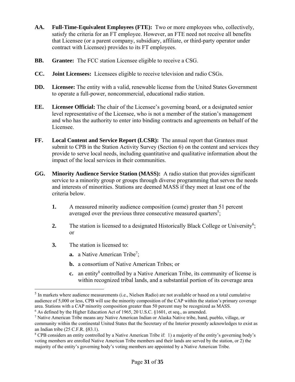- **AA. Full-Time-Equivalent Employees (FTE):** Two or more employees who, collectively, satisfy the criteria for an FT employee. However, an FTE need not receive all benefits that Licensee (or a parent company, subsidiary, affiliate, or third-party operator under contract with Licensee) provides to its FT employees.
- **BB. Grantee:** The FCC station Licensee eligible to receive a CSG.
- **CC. Joint Licensees:** Licensees eligible to receive television and radio CSGs.
- **DD. Licensee:** The entity with a valid, renewable license from the United States Government to operate a full-power, noncommercial, educational radio station.
- **EE. Licensee Official:** The chair of the Licensee's governing board, or a designated senior level representative of the Licensee, who is not a member of the station's management and who has the authority to enter into binding contracts and agreements on behalf of the Licensee.
- **FF. Local Content and Service Report (LCSR):** The annual report that Grantees must submit to CPB in the Station Activity Survey (Section 6) on the content and services they provide to serve local needs, including quantitative and qualitative information about the impact of the local services in their communities.
- **GG. Minority Audience Service Station (MASS):** A radio station that provides significant service to a minority group or groups through diverse programming that serves the needs and interests of minorities. Stations are deemed MASS if they meet at least one of the criteria below.
	- **1.** A measured minority audience composition (cume) greater than 51 percent averaged over the previous three consecutive measured quarters<sup>5</sup>;
	- 2. The station is licensed to a designated Historically Black College or University<sup>6</sup>; or
	- **3.** The station is licensed to:

 $\overline{a}$ 

- **a.** a Native American Tribe<sup>7</sup>;
- **b.** a consortium of Native American Tribes; or
- **c.** an entity<sup>8</sup> controlled by a Native American Tribe, its community of license is within recognized tribal lands, and a substantial portion of its coverage area

<sup>5</sup> In markets where audience measurements (i.e., Nielsen Radio) are not available or based on a total cumulative audience of 5,000 or less, CPB will use the minority composition of the CAP within the station's primary coverage area. Stations with a CAP minority composition greater than 50 percent may be recognized as MASS.

 $6$  As defined by the Higher Education Act of 1965, 20 U.S.C. §1601, et seq., as amended.

<sup>&</sup>lt;sup>7</sup> Native American Tribe means any Native American Indian or Alaska Native tribe, band, pueblo, village, or community within the continental United States that the Secretary of the Interior presently acknowledges to exist as an Indian tribe (25 C.F.R. §83.1).

<sup>&</sup>lt;sup>8</sup> CPB considers an entity controlled by a Native American Tribe if: 1) a majority of the entity's governing body's voting members are enrolled Native American Tribe members and their lands are served by the station, or 2) the majority of the entity's governing body's voting members are appointed by a Native American Tribe.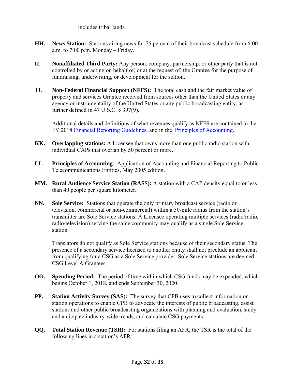includes tribal lands.

- **HH. News Station:** Stations airing news for 75 percent of their broadcast schedule from 6:00 a.m. to 7:00 p.m. Monday – Friday.
- **II. Nonaffiliated Third Party:** Any person, company, partnership, or other party that is not controlled by or acting on behalf of, or at the request of, the Grantee for the purpose of fundraising, underwriting, or development for the station.
- **JJ. Non-Federal Financial Support (NFFS):** The total cash and the fair market value of property and services Grantee received from sources other than the United States or any agency or instrumentality of the United States or any public broadcasting entity, as further defined in 47 U.S.C. § 397(9).

Additional details and definitions of what revenues qualify as NFFS are contained in the FY 2018 Financial Reporting Guidelines, and in the Principles of Accounting.

- **KK. Overlapping stations:** A Licensee that owns more than one public radio station with individual CAPs that overlap by 50 percent or more.
- **LL. Principles of Accounting**: Application of Accounting and Financial Reporting to Public Telecommunications Entities, May 2005 edition.
- **MM. Rural Audience Service Station (RASS):** A station with a CAP density equal to or less than 40 people per square kilometer.
- **NN. Sole Service:** Stations that operate the only primary broadcast service (radio or television, commercial or non-commercial) within a 50-mile radius from the station's transmitter are Sole Service stations. A Licensee operating multiple services (radio/radio, radio/television) serving the same community may qualify as a single Sole Service station.

Translators do not qualify as Sole Service stations because of their secondary status. The presence of a secondary service licensed to another entity shall not preclude an applicant from qualifying for a CSG as a Sole Service provider. Sole Service stations are deemed CSG Level A Grantees.

- **OO. Spending Period:** The period of time within which CSG funds may be expended, which begins October 1, 2018, and ends September 30, 2020.
- **PP. Station Activity Survey (SAS**)**:** The survey that CPB uses to collect information on station operations to enable CPB to advocate the interests of public broadcasting, assist stations and other public broadcasting organizations with planning and evaluation, study and anticipate industry-wide trends, and calculate CSG payments.
- **QQ. Total Station Revenue (TSR):** For stations filing an AFR, the TSR is the total of the following lines in a station's AFR: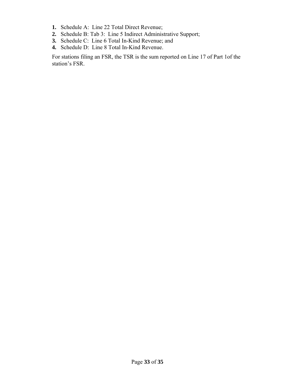- **1.** Schedule A: Line 22 Total Direct Revenue;
- **2.** Schedule B: Tab 3: Line 5 Indirect Administrative Support;
- **3.** Schedule C: Line 6 Total In-Kind Revenue; and
- **4.** Schedule D: Line 8 Total In-Kind Revenue.

For stations filing an FSR, the TSR is the sum reported on Line 17 of Part 1of the station's FSR.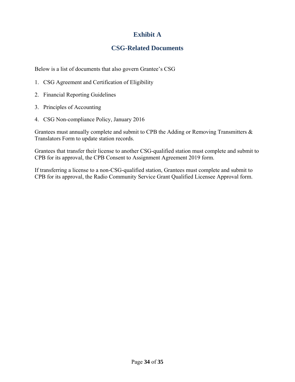## **Exhibit A**

## **CSG-Related Documents**

Below is a list of documents that also govern Grantee's CSG

- 1. CSG Agreement and Certification of Eligibility
- 2. Financial Reporting Guidelines
- 3. Principles of Accounting
- 4. CSG Non-compliance Policy, January 2016

Grantees must annually complete and submit to CPB the Adding or Removing Transmitters  $\&$ Translators Form to update station records.

Grantees that transfer their license to another CSG-qualified station must complete and submit to CPB for its approval, the CPB Consent to Assignment Agreement 2019 form.

If transferring a license to a non-CSG-qualified station, Grantees must complete and submit to CPB for its approval, the Radio Community Service Grant Qualified Licensee Approval form.